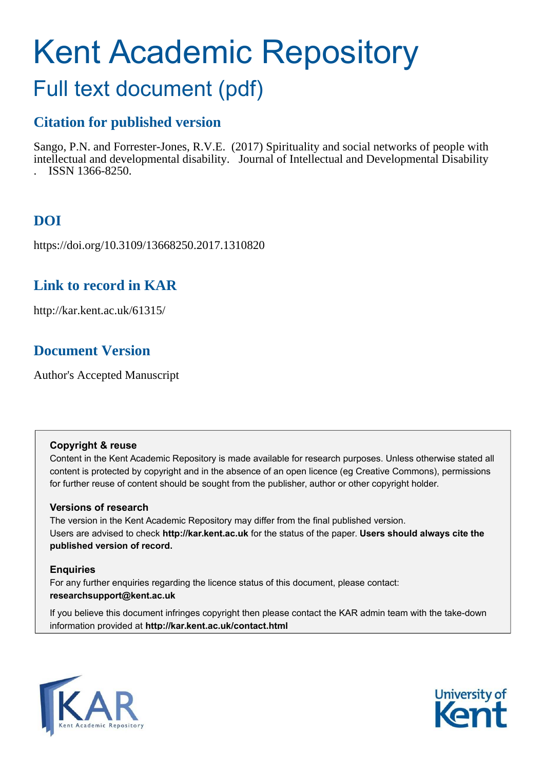# Kent Academic Repository

# Full text document (pdf)

# **Citation for published version**

Sango, P.N. and Forrester-Jones, R.V.E. (2017) Spirituality and social networks of people with intellectual and developmental disability. Journal of Intellectual and Developmental Disability . ISSN 1366-8250.

# **DOI**

https://doi.org/10.3109/13668250.2017.1310820

# **Link to record in KAR**

http://kar.kent.ac.uk/61315/

# **Document Version**

Author's Accepted Manuscript

## **Copyright & reuse**

Content in the Kent Academic Repository is made available for research purposes. Unless otherwise stated all content is protected by copyright and in the absence of an open licence (eg Creative Commons), permissions for further reuse of content should be sought from the publisher, author or other copyright holder.

## **Versions of research**

The version in the Kent Academic Repository may differ from the final published version. Users are advised to check **http://kar.kent.ac.uk** for the status of the paper. **Users should always cite the published version of record.**

## **Enquiries**

For any further enquiries regarding the licence status of this document, please contact: **researchsupport@kent.ac.uk**

If you believe this document infringes copyright then please contact the KAR admin team with the take-down information provided at **http://kar.kent.ac.uk/contact.html**



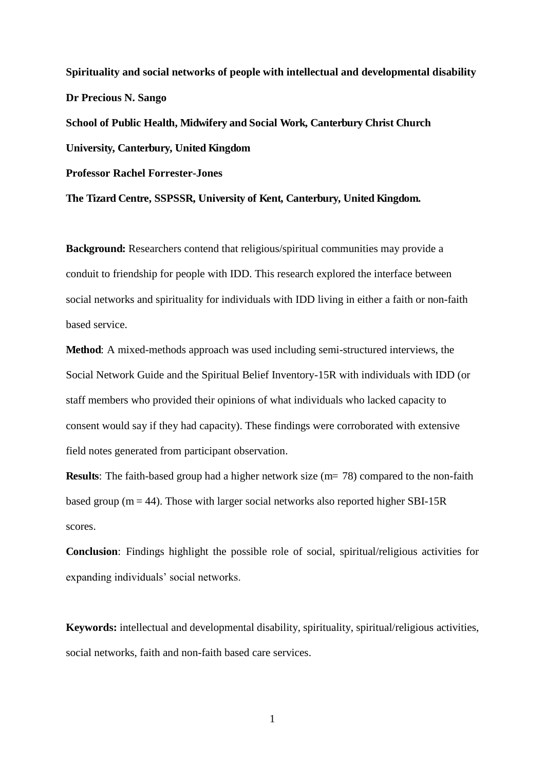**Spirituality and social networks of people with intellectual and developmental disability Dr Precious N. Sango School of Public Health, Midwifery and Social Work, Canterbury Christ Church University, Canterbury, United Kingdom Professor Rachel Forrester-Jones The Tizard Centre, SSPSSR, University of Kent, Canterbury, United Kingdom.** 

**Background:** Researchers contend that religious/spiritual communities may provide a conduit to friendship for people with IDD. This research explored the interface between social networks and spirituality for individuals with IDD living in either a faith or non-faith based service.

**Method**: A mixed-methods approach was used including semi-structured interviews, the Social Network Guide and the Spiritual Belief Inventory-15R with individuals with IDD (or staff members who provided their opinions of what individuals who lacked capacity to consent would say if they had capacity). These findings were corroborated with extensive field notes generated from participant observation.

**Results**: The faith-based group had a higher network size (m= 78) compared to the non-faith based group ( $m = 44$ ). Those with larger social networks also reported higher SBI-15R scores.

**Conclusion**: Findings highlight the possible role of social, spiritual/religious activities for expanding individuals' social networks.

**Keywords:** intellectual and developmental disability, spirituality, spiritual/religious activities, social networks, faith and non-faith based care services.

1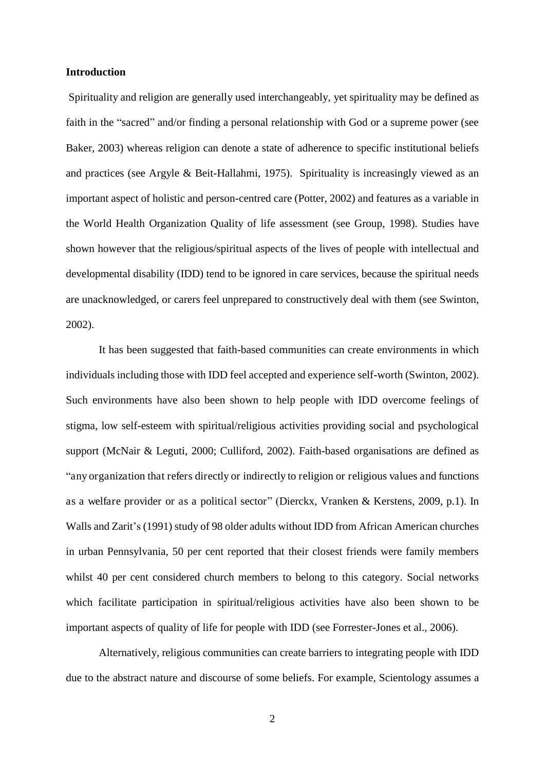#### **Introduction**

 Spirituality and religion are generally used interchangeably, yet spirituality may be defined as faith in the "sacred" and/or finding a personal relationship with God or a supreme power (see Baker, 2003) whereas religion can denote a state of adherence to specific institutional beliefs and practices (see Argyle & Beit-Hallahmi, 1975). Spirituality is increasingly viewed as an important aspect of holistic and person-centred care (Potter, 2002) and features as a variable in the World Health Organization Quality of life assessment (see Group, 1998). Studies have shown however that the religious/spiritual aspects of the lives of people with intellectual and developmental disability (IDD) tend to be ignored in care services, because the spiritual needs are unacknowledged, or carers feel unprepared to constructively deal with them (see Swinton, 2002).

It has been suggested that faith-based communities can create environments in which individuals including those with IDD feel accepted and experience self-worth (Swinton, 2002). Such environments have also been shown to help people with IDD overcome feelings of stigma, low self-esteem with spiritual/religious activities providing social and psychological support (McNair & Leguti, 2000; Culliford, 2002). Faith-based organisations are defined as "any organization that refers directly or indirectly to religion or religious values and functions as a welfare provider or as a political sector" (Dierckx, Vranken & Kerstens, 2009, p.1). In Walls and Zarit's (1991) study of 98 older adults without IDD from African American churches in urban Pennsylvania, 50 per cent reported that their closest friends were family members whilst 40 per cent considered church members to belong to this category. Social networks which facilitate participation in spiritual/religious activities have also been shown to be important aspects of quality of life for people with IDD (see Forrester-Jones et al., 2006).

Alternatively, religious communities can create barriers to integrating people with IDD due to the abstract nature and discourse of some beliefs. For example, Scientology assumes a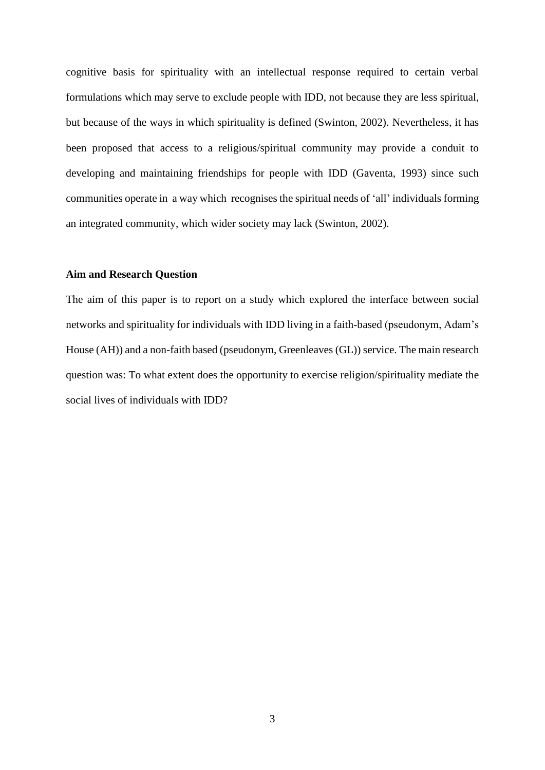cognitive basis for spirituality with an intellectual response required to certain verbal formulations which may serve to exclude people with IDD, not because they are less spiritual, but because of the ways in which spirituality is defined (Swinton, 2002). Nevertheless, it has been proposed that access to a religious/spiritual community may provide a conduit to developing and maintaining friendships for people with IDD (Gaventa, 1993) since such communities operate in a way which recognises the spiritual needs of 'all' individuals forming an integrated community, which wider society may lack (Swinton, 2002).

#### **Aim and Research Question**

The aim of this paper is to report on a study which explored the interface between social networks and spirituality for individuals with IDD living in a faith-based (pseudonym, Adam's House (AH)) and a non-faith based (pseudonym, Greenleaves (GL)) service. The main research question was: To what extent does the opportunity to exercise religion/spirituality mediate the social lives of individuals with IDD?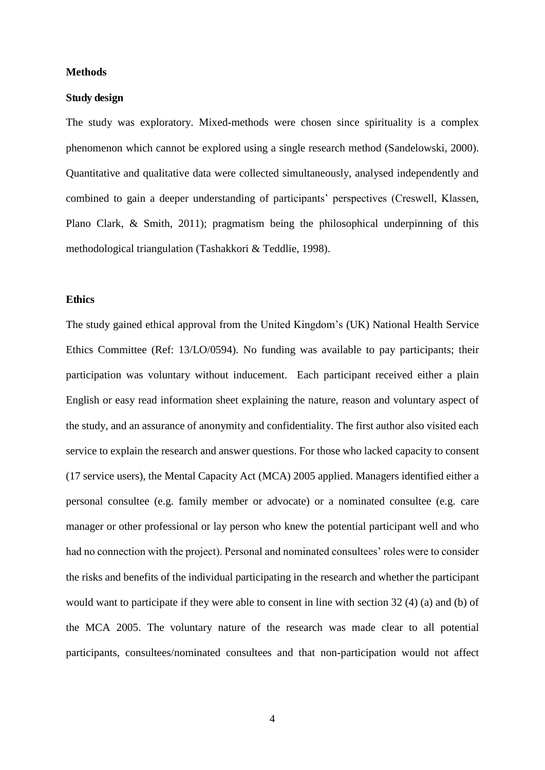#### **Methods**

#### **Study design**

The study was exploratory. Mixed-methods were chosen since spirituality is a complex phenomenon which cannot be explored using a single research method (Sandelowski, 2000). Quantitative and qualitative data were collected simultaneously, analysed independently and combined to gain a deeper understanding of participants' perspectives (Creswell, Klassen, Plano Clark, & Smith, 2011); pragmatism being the philosophical underpinning of this methodological triangulation (Tashakkori & Teddlie, 1998).

## **Ethics**

The study gained ethical approval from the United Kingdom's (UK) National Health Service Ethics Committee (Ref: 13/LO/0594). No funding was available to pay participants; their participation was voluntary without inducement. Each participant received either a plain English or easy read information sheet explaining the nature, reason and voluntary aspect of the study, and an assurance of anonymity and confidentiality. The first author also visited each service to explain the research and answer questions. For those who lacked capacity to consent (17 service users), the Mental Capacity Act (MCA) 2005 applied. Managers identified either a personal consultee (e.g. family member or advocate) or a nominated consultee (e.g. care manager or other professional or lay person who knew the potential participant well and who had no connection with the project). Personal and nominated consultees' roles were to consider the risks and benefits of the individual participating in the research and whether the participant would want to participate if they were able to consent in line with section 32 (4) (a) and (b) of the MCA 2005. The voluntary nature of the research was made clear to all potential participants, consultees/nominated consultees and that non-participation would not affect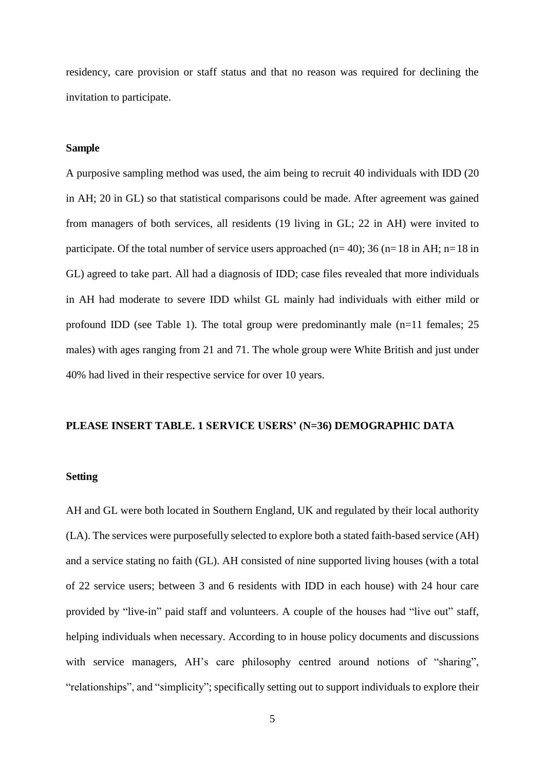residency, care provision or staff status and that no reason was required for declining the invitation to participate.

#### **Sample**

A purposive sampling method was used, the aim being to recruit 40 individuals with IDD (20 in AH; 20 in GL) so that statistical comparisons could be made. After agreement was gained from managers of both services, all residents (19 living in GL; 22 in AH) were invited to participate. Of the total number of service users approached ( $n=40$ ); 36 ( $n=18$  in AH;  $n=18$  in GL) agreed to take part. All had a diagnosis of IDD; case files revealed that more individuals in AH had moderate to severe IDD whilst GL mainly had individuals with either mild or profound IDD (see Table 1). The total group were predominantly male (n=11 females; 25 males) with ages ranging from 21 and 71. The whole group were White British and just under 40% had lived in their respective service for over 10 years.

#### **PLEASE INSERT TABLE. 1 SERVICE USERS' (N=36) DEMOGRAPHIC DATA**

## **Setting**

AH and GL were both located in Southern England, UK and regulated by their local authority (LA). The services were purposefully selected to explore both a stated faith-based service (AH) and a service stating no faith (GL). AH consisted of nine supported living houses (with a total of 22 service users; between 3 and 6 residents with IDD in each house) with 24 hour care provided by "live-in" paid staff and volunteers. A couple of the houses had "live out" staff, helping individuals when necessary. According to in house policy documents and discussions with service managers, AH's care philosophy centred around notions of "sharing", "relationships", and "simplicity"; specifically setting out to support individuals to explore their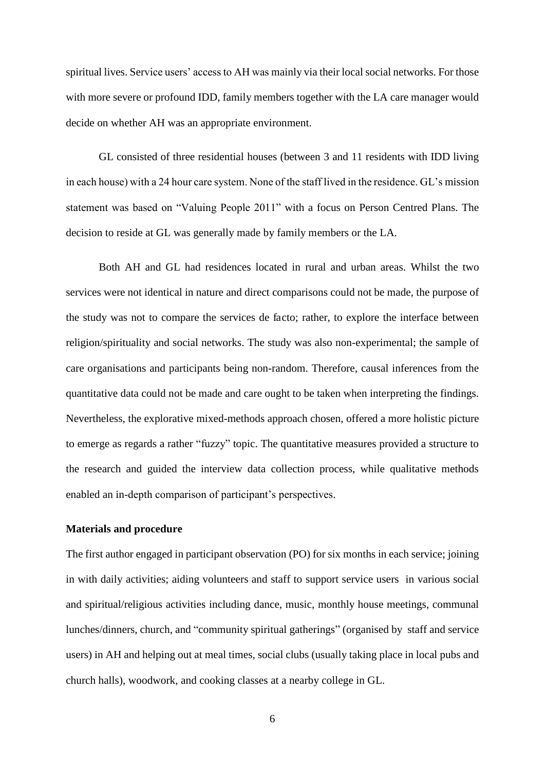spiritual lives. Service users' access to AH was mainly via their local social networks. For those with more severe or profound IDD, family members together with the LA care manager would decide on whether AH was an appropriate environment.

GL consisted of three residential houses (between 3 and 11 residents with IDD living in each house) with a 24 hour care system. None of the staff lived in the residence. GL's mission statement was based on "Valuing People 2011" with a focus on Person Centred Plans. The decision to reside at GL was generally made by family members or the LA.

Both AH and GL had residences located in rural and urban areas. Whilst the two services were not identical in nature and direct comparisons could not be made, the purpose of the study was not to compare the services de facto; rather, to explore the interface between religion/spirituality and social networks. The study was also non-experimental; the sample of care organisations and participants being non-random. Therefore, causal inferences from the quantitative data could not be made and care ought to be taken when interpreting the findings. Nevertheless, the explorative mixed-methods approach chosen, offered a more holistic picture to emerge as regards a rather "fuzzy" topic. The quantitative measures provided a structure to the research and guided the interview data collection process, while qualitative methods enabled an in-depth comparison of participant's perspectives.

#### **Materials and procedure**

The first author engaged in participant observation (PO) for six months in each service; joining in with daily activities; aiding volunteers and staff to support service users in various social and spiritual/religious activities including dance, music, monthly house meetings, communal lunches/dinners, church, and "community spiritual gatherings" (organised by staff and service users) in AH and helping out at meal times, social clubs (usually taking place in local pubs and church halls), woodwork, and cooking classes at a nearby college in GL.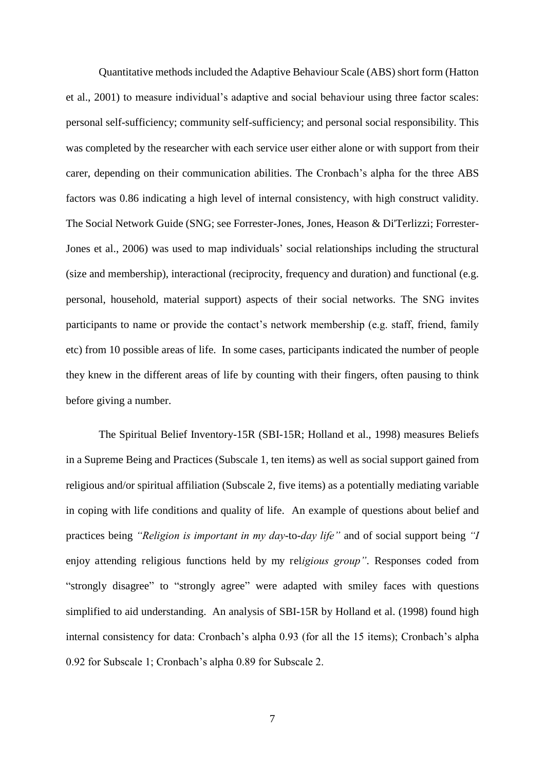Quantitative methods included the Adaptive Behaviour Scale (ABS) short form (Hatton et al., 2001) to measure individual's adaptive and social behaviour using three factor scales: personal self-sufficiency; community self-sufficiency; and personal social responsibility. This was completed by the researcher with each service user either alone or with support from their carer, depending on their communication abilities. The Cronbach's alpha for the three ABS factors was 0.86 indicating a high level of internal consistency, with high construct validity. The Social Network Guide (SNG; see Forrester-Jones, Jones, Heason & Di'Terlizzi; Forrester-Jones et al., 2006) was used to map individuals' social relationships including the structural (size and membership), interactional (reciprocity, frequency and duration) and functional (e.g. personal, household, material support) aspects of their social networks. The SNG invites participants to name or provide the contact's network membership (e.g. staff, friend, family etc) from 10 possible areas of life. In some cases, participants indicated the number of people they knew in the different areas of life by counting with their fingers, often pausing to think before giving a number.

The Spiritual Belief Inventory-15R (SBI-15R; Holland et al., 1998) measures Beliefs in a Supreme Being and Practices (Subscale 1, ten items) as well as social support gained from religious and/or spiritual affiliation (Subscale 2, five items) as a potentially mediating variable in coping with life conditions and quality of life. An example of questions about belief and practices being *"Religion is important in my day*-to-*day life"* and of social support being *"I*  enjoy attending religious functions held by my rel*igious group"*. Responses coded from "strongly disagree" to "strongly agree" were adapted with smiley faces with questions simplified to aid understanding. An analysis of SBI-15R by Holland et al. (1998) found high internal consistency for data: Cronbach's alpha 0.93 (for all the 15 items); Cronbach's alpha 0.92 for Subscale 1; Cronbach's alpha 0.89 for Subscale 2.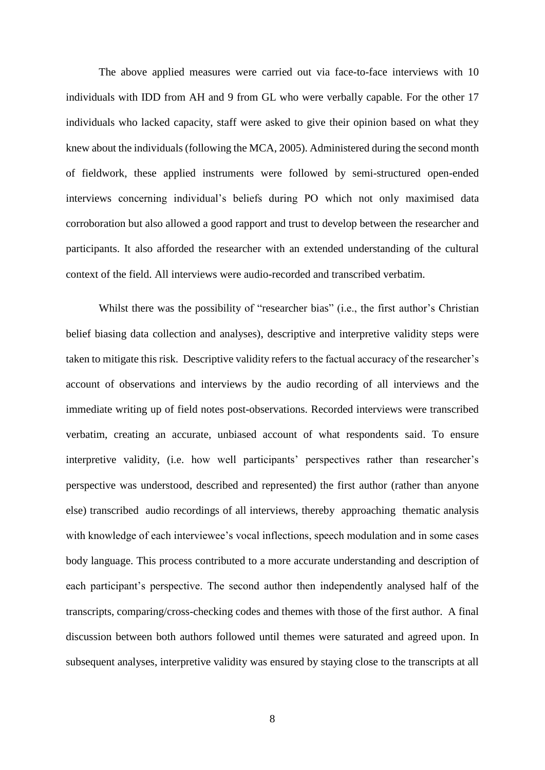The above applied measures were carried out via face-to-face interviews with 10 individuals with IDD from AH and 9 from GL who were verbally capable. For the other 17 individuals who lacked capacity, staff were asked to give their opinion based on what they knew about the individuals (following the MCA, 2005). Administered during the second month of fieldwork, these applied instruments were followed by semi-structured open-ended interviews concerning individual's beliefs during PO which not only maximised data corroboration but also allowed a good rapport and trust to develop between the researcher and participants. It also afforded the researcher with an extended understanding of the cultural context of the field. All interviews were audio-recorded and transcribed verbatim.

Whilst there was the possibility of "researcher bias" (i.e., the first author's Christian belief biasing data collection and analyses), descriptive and interpretive validity steps were taken to mitigate this risk. Descriptive validity refers to the factual accuracy of the researcher's account of observations and interviews by the audio recording of all interviews and the immediate writing up of field notes post-observations. Recorded interviews were transcribed verbatim, creating an accurate, unbiased account of what respondents said. To ensure interpretive validity, (i.e. how well participants' perspectives rather than researcher's perspective was understood, described and represented) the first author (rather than anyone else) transcribed audio recordings of all interviews, thereby approaching thematic analysis with knowledge of each interviewee's vocal inflections, speech modulation and in some cases body language. This process contributed to a more accurate understanding and description of each participant's perspective. The second author then independently analysed half of the transcripts, comparing/cross-checking codes and themes with those of the first author. A final discussion between both authors followed until themes were saturated and agreed upon. In subsequent analyses, interpretive validity was ensured by staying close to the transcripts at all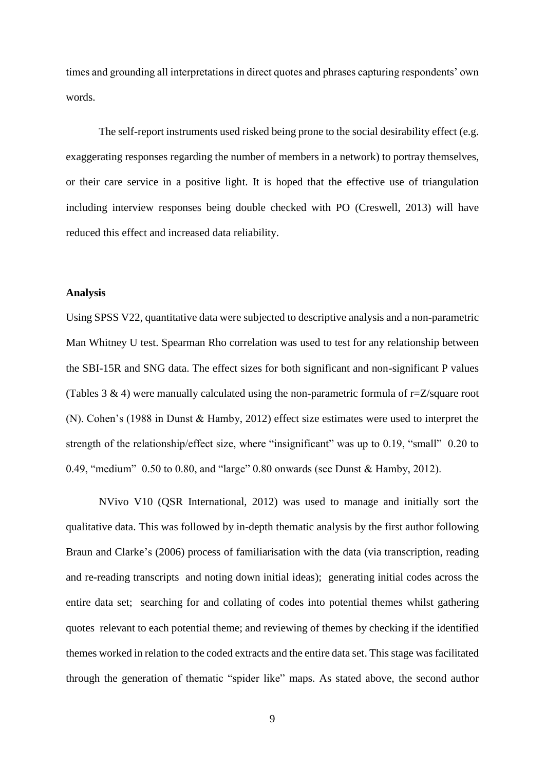times and grounding all interpretations in direct quotes and phrases capturing respondents' own words.

The self-report instruments used risked being prone to the social desirability effect (e.g. exaggerating responses regarding the number of members in a network) to portray themselves, or their care service in a positive light. It is hoped that the effective use of triangulation including interview responses being double checked with PO (Creswell, 2013) will have reduced this effect and increased data reliability.

#### **Analysis**

Using SPSS V22, quantitative data were subjected to descriptive analysis and a non-parametric Man Whitney U test. Spearman Rho correlation was used to test for any relationship between the SBI-15R and SNG data. The effect sizes for both significant and non-significant P values (Tables 3  $\&$  4) were manually calculated using the non-parametric formula of r=Z/square root (N). Cohen's (1988 in Dunst & Hamby, 2012) effect size estimates were used to interpret the strength of the relationship/effect size, where "insignificant" was up to 0.19, "small" 0.20 to 0.49, "medium" 0.50 to 0.80, and "large" 0.80 onwards (see Dunst & Hamby, 2012).

NVivo V10 (QSR International, 2012) was used to manage and initially sort the qualitative data. This was followed by in-depth thematic analysis by the first author following Braun and Clarke's (2006) process of familiarisation with the data (via transcription, reading and re-reading transcripts and noting down initial ideas); generating initial codes across the entire data set; searching for and collating of codes into potential themes whilst gathering quotes relevant to each potential theme; and reviewing of themes by checking if the identified themes worked in relation to the coded extracts and the entire data set. This stage was facilitated through the generation of thematic "spider like" maps. As stated above, the second author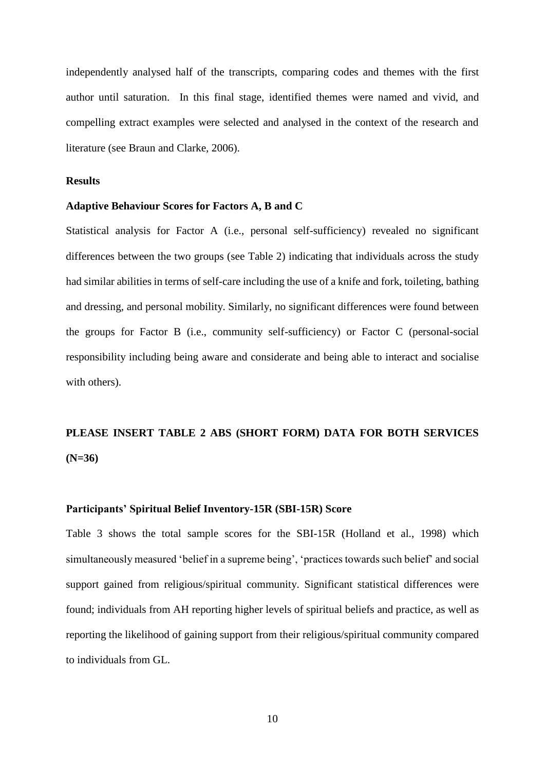independently analysed half of the transcripts, comparing codes and themes with the first author until saturation. In this final stage, identified themes were named and vivid, and compelling extract examples were selected and analysed in the context of the research and literature (see Braun and Clarke, 2006).

#### **Results**

#### **Adaptive Behaviour Scores for Factors A, B and C**

Statistical analysis for Factor A (i.e., personal self-sufficiency) revealed no significant differences between the two groups (see Table 2) indicating that individuals across the study had similar abilities in terms of self-care including the use of a knife and fork, toileting, bathing and dressing, and personal mobility. Similarly, no significant differences were found between the groups for Factor B (i.e., community self-sufficiency) or Factor C (personal-social responsibility including being aware and considerate and being able to interact and socialise with others).

# **PLEASE INSERT TABLE 2 ABS (SHORT FORM) DATA FOR BOTH SERVICES (N=36)**

#### **Participants' Spiritual Belief Inventory-15R (SBI-15R) Score**

Table 3 shows the total sample scores for the SBI-15R (Holland et al., 1998) which simultaneously measured 'belief in a supreme being', 'practices towards such belief' and social support gained from religious/spiritual community. Significant statistical differences were found; individuals from AH reporting higher levels of spiritual beliefs and practice, as well as reporting the likelihood of gaining support from their religious/spiritual community compared to individuals from GL.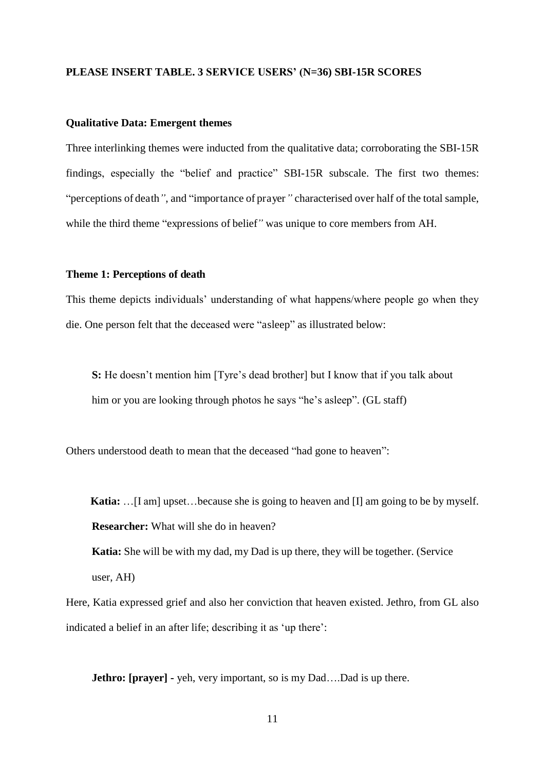#### **PLEASE INSERT TABLE. 3 SERVICE USERS' (N=36) SBI-15R SCORES**

#### **Qualitative Data: Emergent themes**

Three interlinking themes were inducted from the qualitative data; corroborating the SBI-15R findings, especially the "belief and practice" SBI-15R subscale. The first two themes: "perceptions of death*"*, and "importance of prayer*"* characterised over half of the total sample, while the third theme "expressions of belief*"* was unique to core members from AH.

#### **Theme 1: Perceptions of death**

This theme depicts individuals' understanding of what happens/where people go when they die. One person felt that the deceased were "asleep" as illustrated below:

**S:** He doesn't mention him [Tyre's dead brother] but I know that if you talk about him or you are looking through photos he says "he's asleep". (GL staff)

Others understood death to mean that the deceased "had gone to heaven":

 **Katia:** …[I am] upset…because she is going to heaven and [I] am going to be by myself. **Researcher:** What will she do in heaven?

**Katia:** She will be with my dad, my Dad is up there, they will be together. (Service user, AH)

Here, Katia expressed grief and also her conviction that heaven existed. Jethro, from GL also indicated a belief in an after life; describing it as 'up there':

**Jethro: [prayer] -** yeh, very important, so is my Dad....Dad is up there.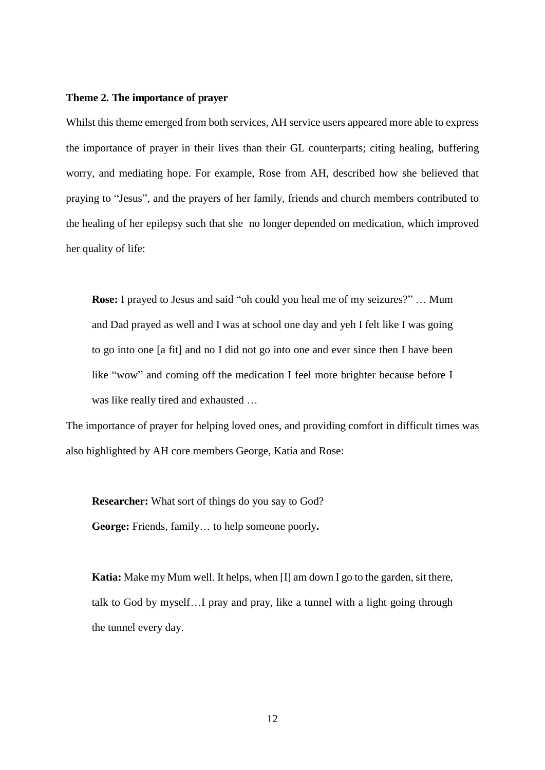#### **Theme 2. The importance of prayer**

Whilst this theme emerged from both services, AH service users appeared more able to express the importance of prayer in their lives than their GL counterparts; citing healing, buffering worry, and mediating hope. For example, Rose from AH, described how she believed that praying to "Jesus", and the prayers of her family, friends and church members contributed to the healing of her epilepsy such that she no longer depended on medication, which improved her quality of life:

**Rose:** I prayed to Jesus and said "oh could you heal me of my seizures?" … Mum and Dad prayed as well and I was at school one day and yeh I felt like I was going to go into one [a fit] and no I did not go into one and ever since then I have been like "wow" and coming off the medication I feel more brighter because before I was like really tired and exhausted …

The importance of prayer for helping loved ones, and providing comfort in difficult times was also highlighted by AH core members George, Katia and Rose:

**Researcher:** What sort of things do you say to God? **George:** Friends, family… to help someone poorly**.** 

**Katia:** Make my Mum well. It helps, when [I] am down I go to the garden, sit there, talk to God by myself…I pray and pray, like a tunnel with a light going through the tunnel every day.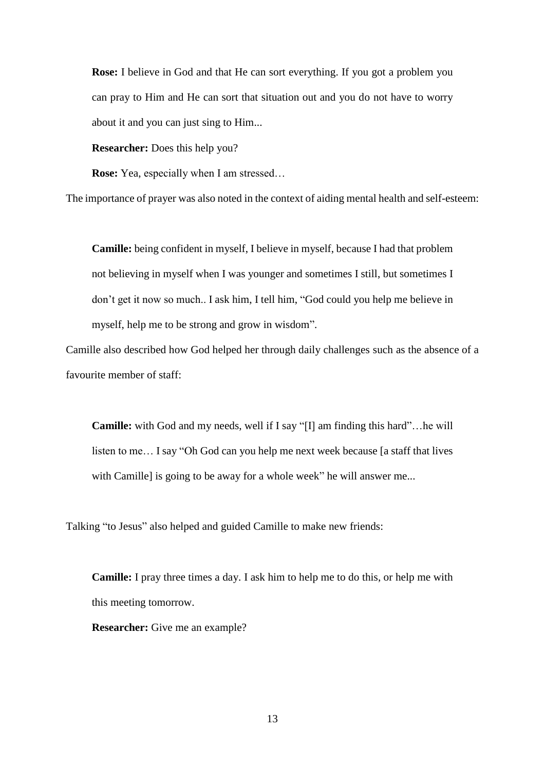**Rose:** I believe in God and that He can sort everything. If you got a problem you can pray to Him and He can sort that situation out and you do not have to worry about it and you can just sing to Him...

**Researcher:** Does this help you?

**Rose:** Yea, especially when I am stressed…

The importance of prayer was also noted in the context of aiding mental health and self-esteem:

**Camille:** being confident in myself, I believe in myself, because I had that problem not believing in myself when I was younger and sometimes I still, but sometimes I don't get it now so much.. I ask him, I tell him, "God could you help me believe in myself, help me to be strong and grow in wisdom".

Camille also described how God helped her through daily challenges such as the absence of a favourite member of staff:

**Camille:** with God and my needs, well if I say "[I] am finding this hard"…he will listen to me… I say "Oh God can you help me next week because [a staff that lives with Camille] is going to be away for a whole week" he will answer me...

Talking "to Jesus" also helped and guided Camille to make new friends:

**Camille:** I pray three times a day. I ask him to help me to do this, or help me with this meeting tomorrow.

**Researcher:** Give me an example?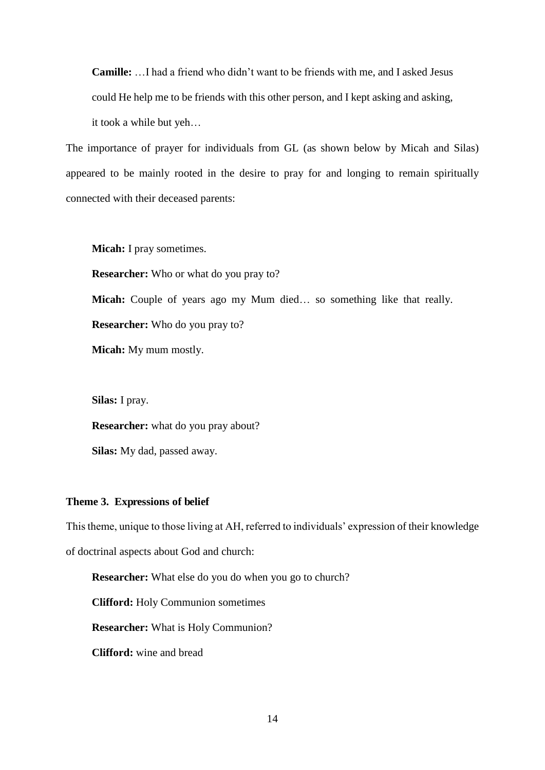**Camille:** …I had a friend who didn't want to be friends with me, and I asked Jesus could He help me to be friends with this other person, and I kept asking and asking, it took a while but yeh…

The importance of prayer for individuals from GL (as shown below by Micah and Silas) appeared to be mainly rooted in the desire to pray for and longing to remain spiritually connected with their deceased parents:

**Micah:** I pray sometimes.

**Researcher:** Who or what do you pray to?

**Micah:** Couple of years ago my Mum died… so something like that really.

**Researcher:** Who do you pray to?

**Micah:** My mum mostly.

**Silas:** I pray.

**Researcher:** what do you pray about?

**Silas:** My dad, passed away.

#### **Theme 3. Expressions of belief**

This theme, unique to those living at AH, referred to individuals' expression of their knowledge

of doctrinal aspects about God and church:

**Researcher:** What else do you do when you go to church?

**Clifford:** Holy Communion sometimes

**Researcher:** What is Holy Communion?

**Clifford:** wine and bread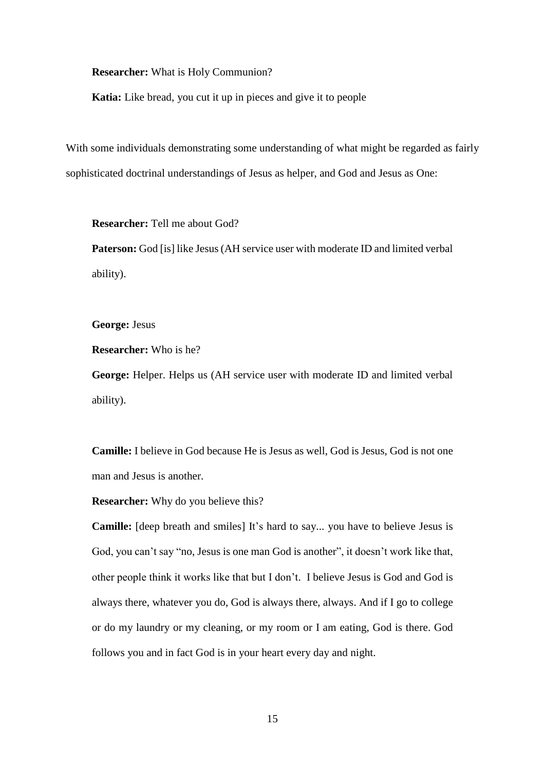**Researcher:** What is Holy Communion?

**Katia:** Like bread, you cut it up in pieces and give it to people

With some individuals demonstrating some understanding of what might be regarded as fairly sophisticated doctrinal understandings of Jesus as helper, and God and Jesus as One:

**Researcher:** Tell me about God?

**Paterson:** God [is] like Jesus (AH service user with moderate ID and limited verbal ability).

**George:** Jesus

**Researcher:** Who is he?

**George:** Helper. Helps us (AH service user with moderate ID and limited verbal ability).

**Camille:** I believe in God because He is Jesus as well, God is Jesus, God is not one man and Jesus is another.

**Researcher:** Why do you believe this?

**Camille:** [deep breath and smiles] It's hard to say... you have to believe Jesus is God, you can't say "no, Jesus is one man God is another", it doesn't work like that, other people think it works like that but I don't. I believe Jesus is God and God is always there, whatever you do, God is always there, always. And if I go to college or do my laundry or my cleaning, or my room or I am eating, God is there. God follows you and in fact God is in your heart every day and night.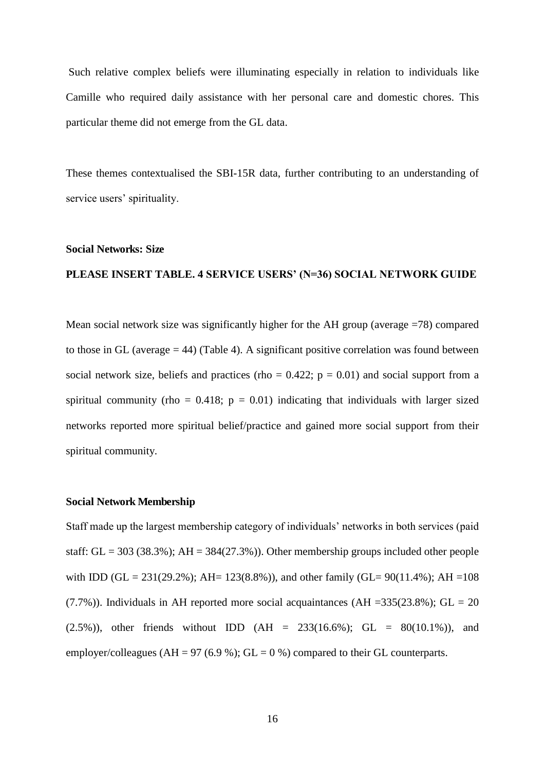Such relative complex beliefs were illuminating especially in relation to individuals like Camille who required daily assistance with her personal care and domestic chores. This particular theme did not emerge from the GL data.

These themes contextualised the SBI-15R data, further contributing to an understanding of service users' spirituality.

#### **Social Networks: Size**

#### **PLEASE INSERT TABLE. 4 SERVICE USERS' (N=36) SOCIAL NETWORK GUIDE**

Mean social network size was significantly higher for the AH group (average =78) compared to those in GL (average  $=$  44) (Table 4). A significant positive correlation was found between social network size, beliefs and practices (rho =  $0.422$ ; p = 0.01) and social support from a spiritual community (rho =  $0.418$ ; p =  $0.01$ ) indicating that individuals with larger sized networks reported more spiritual belief/practice and gained more social support from their spiritual community.

#### **Social Network Membership**

Staff made up the largest membership category of individuals' networks in both services (paid staff:  $GL = 303$  (38.3%);  $AH = 384(27.3%)$ ). Other membership groups included other people with IDD (GL = 231(29.2%); AH= 123(8.8%)), and other family (GL=  $90(11.4\%)$ ; AH = 108  $(7.7\%)$ ). Individuals in AH reported more social acquaintances (AH =335(23.8%); GL = 20  $(2.5\%)$ , other friends without IDD  $(AH = 233(16.6\%)$ ; GL = 80(10.1%)), and employer/colleagues (AH = 97 (6.9 %); GL = 0 %) compared to their GL counterparts.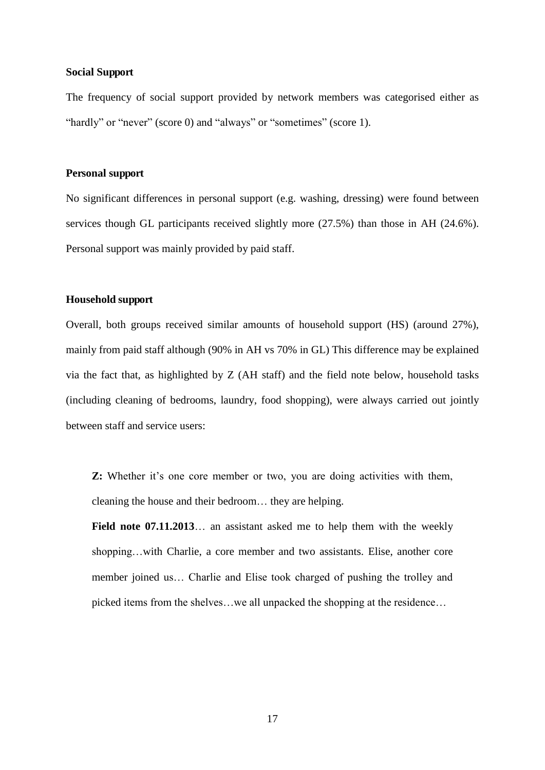#### **Social Support**

The frequency of social support provided by network members was categorised either as "hardly" or "never" (score 0) and "always" or "sometimes" (score 1).

#### **Personal support**

No significant differences in personal support (e.g. washing, dressing) were found between services though GL participants received slightly more (27.5%) than those in AH (24.6%). Personal support was mainly provided by paid staff.

#### **Household support**

Overall, both groups received similar amounts of household support (HS) (around 27%), mainly from paid staff although (90% in AH vs 70% in GL) This difference may be explained via the fact that, as highlighted by Z (AH staff) and the field note below, household tasks (including cleaning of bedrooms, laundry, food shopping), were always carried out jointly between staff and service users:

**Z:** Whether it's one core member or two, you are doing activities with them, cleaning the house and their bedroom… they are helping.

Field note 07.11.2013... an assistant asked me to help them with the weekly shopping…with Charlie, a core member and two assistants. Elise, another core member joined us… Charlie and Elise took charged of pushing the trolley and picked items from the shelves…we all unpacked the shopping at the residence…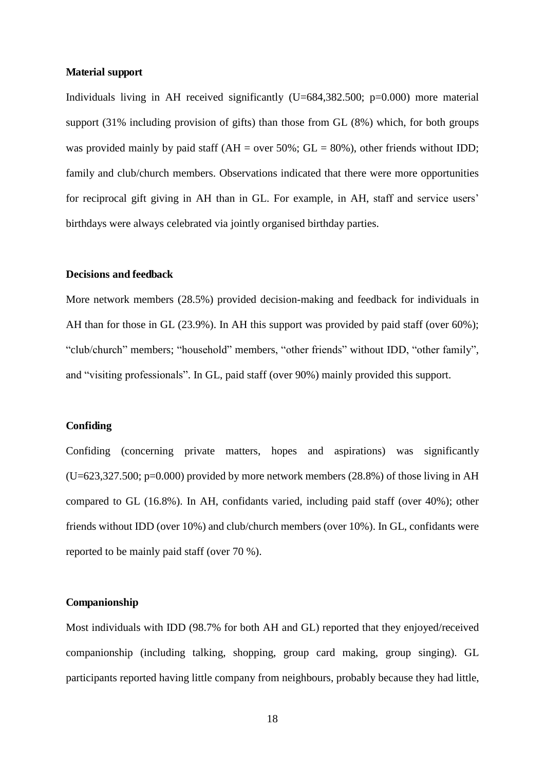#### **Material support**

Individuals living in AH received significantly  $(U=684,382.500; p=0.000)$  more material support (31% including provision of gifts) than those from GL (8%) which, for both groups was provided mainly by paid staff ( $AH = over 50\%$ ;  $GL = 80\%$ ), other friends without IDD; family and club/church members. Observations indicated that there were more opportunities for reciprocal gift giving in AH than in GL. For example, in AH, staff and service users' birthdays were always celebrated via jointly organised birthday parties.

#### **Decisions and feedback**

More network members (28.5%) provided decision-making and feedback for individuals in AH than for those in GL (23.9%). In AH this support was provided by paid staff (over 60%); "club/church" members; "household" members, "other friends" without IDD, "other family", and "visiting professionals". In GL, paid staff (over 90%) mainly provided this support.

#### **Confiding**

Confiding (concerning private matters, hopes and aspirations) was significantly  $(U=623,327.500; p=0.000)$  provided by more network members (28.8%) of those living in AH compared to GL (16.8%). In AH, confidants varied, including paid staff (over 40%); other friends without IDD (over 10%) and club/church members (over 10%). In GL, confidants were reported to be mainly paid staff (over 70 %).

#### **Companionship**

Most individuals with IDD (98.7% for both AH and GL) reported that they enjoyed/received companionship (including talking, shopping, group card making, group singing). GL participants reported having little company from neighbours, probably because they had little,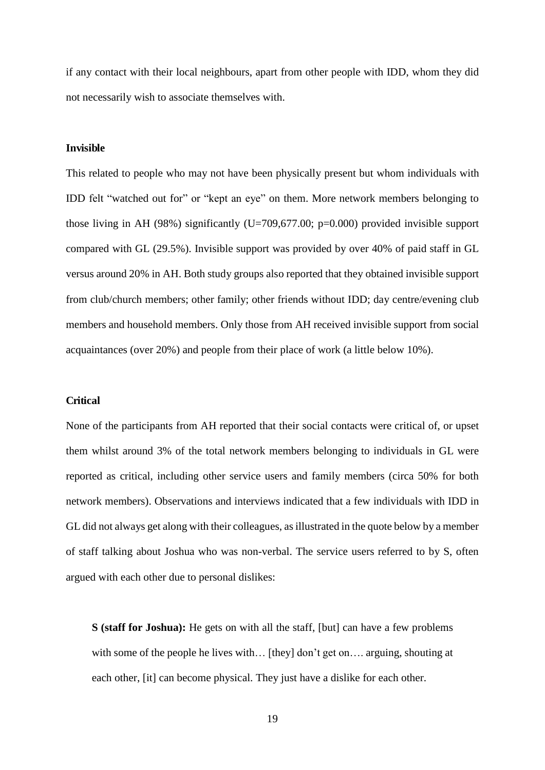if any contact with their local neighbours, apart from other people with IDD, whom they did not necessarily wish to associate themselves with.

#### **Invisible**

This related to people who may not have been physically present but whom individuals with IDD felt "watched out for" or "kept an eye" on them. More network members belonging to those living in AH (98%) significantly (U=709,677.00; p=0.000) provided invisible support compared with GL (29.5%). Invisible support was provided by over 40% of paid staff in GL versus around 20% in AH. Both study groups also reported that they obtained invisible support from club/church members; other family; other friends without IDD; day centre/evening club members and household members. Only those from AH received invisible support from social acquaintances (over 20%) and people from their place of work (a little below 10%).

#### **Critical**

None of the participants from AH reported that their social contacts were critical of, or upset them whilst around 3% of the total network members belonging to individuals in GL were reported as critical, including other service users and family members (circa 50% for both network members). Observations and interviews indicated that a few individuals with IDD in GL did not always get along with their colleagues, as illustrated in the quote below by a member of staff talking about Joshua who was non-verbal. The service users referred to by S, often argued with each other due to personal dislikes:

**S (staff for Joshua):** He gets on with all the staff, [but] can have a few problems with some of the people he lives with... [they] don't get on.... arguing, shouting at each other, [it] can become physical. They just have a dislike for each other.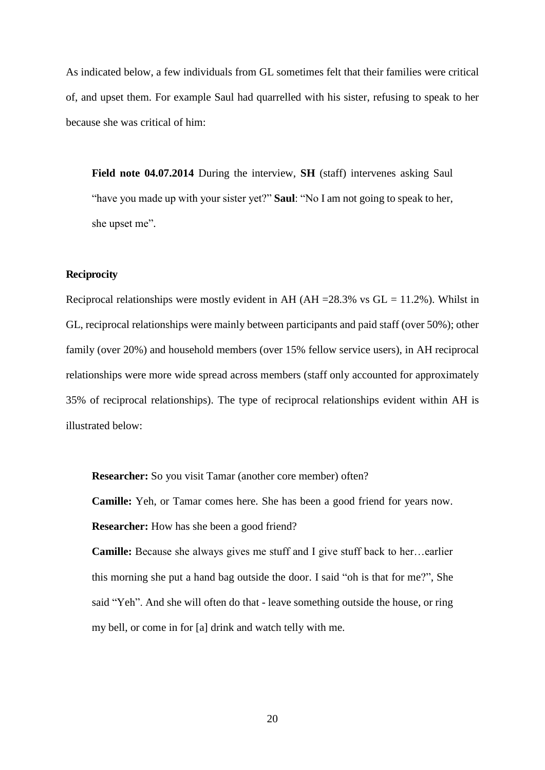As indicated below, a few individuals from GL sometimes felt that their families were critical of, and upset them. For example Saul had quarrelled with his sister, refusing to speak to her because she was critical of him:

**Field note 04.07.2014** During the interview, **SH** (staff) intervenes asking Saul "have you made up with your sister yet?" **Saul**: "No I am not going to speak to her, she upset me".

#### **Reciprocity**

Reciprocal relationships were mostly evident in AH (AH =  $28.3\%$  vs GL = 11.2%). Whilst in GL, reciprocal relationships were mainly between participants and paid staff (over 50%); other family (over 20%) and household members (over 15% fellow service users), in AH reciprocal relationships were more wide spread across members (staff only accounted for approximately 35% of reciprocal relationships). The type of reciprocal relationships evident within AH is illustrated below:

**Researcher:** So you visit Tamar (another core member) often?

**Camille:** Yeh, or Tamar comes here. She has been a good friend for years now.

**Researcher:** How has she been a good friend?

**Camille:** Because she always gives me stuff and I give stuff back to her…earlier this morning she put a hand bag outside the door. I said "oh is that for me?", She said "Yeh". And she will often do that - leave something outside the house, or ring my bell, or come in for [a] drink and watch telly with me.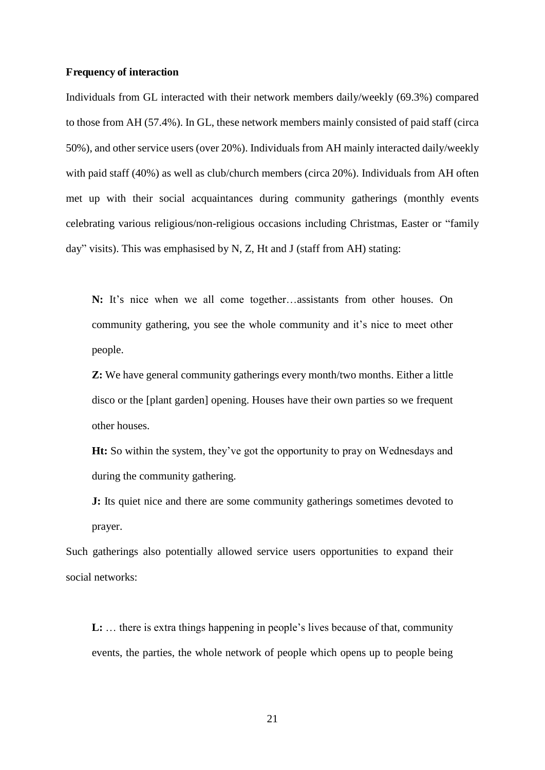#### **Frequency of interaction**

Individuals from GL interacted with their network members daily/weekly (69.3%) compared to those from AH (57.4%). In GL, these network members mainly consisted of paid staff (circa 50%), and other service users (over 20%). Individuals from AH mainly interacted daily/weekly with paid staff (40%) as well as club/church members (circa 20%). Individuals from AH often met up with their social acquaintances during community gatherings (monthly events celebrating various religious/non-religious occasions including Christmas, Easter or "family day" visits). This was emphasised by N, Z, Ht and J (staff from AH) stating:

**N:** It's nice when we all come together…assistants from other houses. On community gathering, you see the whole community and it's nice to meet other people.

**Z:** We have general community gatherings every month/two months. Either a little disco or the [plant garden] opening. Houses have their own parties so we frequent other houses.

**Ht:** So within the system, they've got the opportunity to pray on Wednesdays and during the community gathering.

**J:** Its quiet nice and there are some community gatherings sometimes devoted to prayer.

Such gatherings also potentially allowed service users opportunities to expand their social networks:

**L:** … there is extra things happening in people's lives because of that, community events, the parties, the whole network of people which opens up to people being

21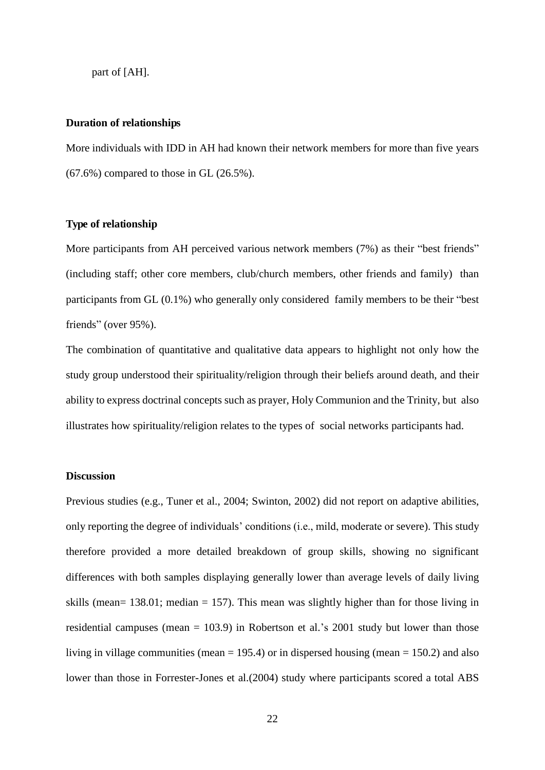part of [AH].

#### **Duration of relationships**

More individuals with IDD in AH had known their network members for more than five years (67.6%) compared to those in GL (26.5%).

#### **Type of relationship**

More participants from AH perceived various network members (7%) as their "best friends" (including staff; other core members, club/church members, other friends and family) than participants from GL (0.1%) who generally only considered family members to be their "best friends" (over 95%).

The combination of quantitative and qualitative data appears to highlight not only how the study group understood their spirituality/religion through their beliefs around death, and their ability to express doctrinal concepts such as prayer, Holy Communion and the Trinity, but also illustrates how spirituality/religion relates to the types of social networks participants had.

## **Discussion**

Previous studies (e.g., Tuner et al., 2004; Swinton, 2002) did not report on adaptive abilities, only reporting the degree of individuals' conditions (i.e., mild, moderate or severe). This study therefore provided a more detailed breakdown of group skills, showing no significant differences with both samples displaying generally lower than average levels of daily living skills (mean=  $138.01$ ; median =  $157$ ). This mean was slightly higher than for those living in residential campuses (mean = 103.9) in Robertson et al.'s 2001 study but lower than those living in village communities (mean  $= 195.4$ ) or in dispersed housing (mean  $= 150.2$ ) and also lower than those in Forrester-Jones et al.(2004) study where participants scored a total ABS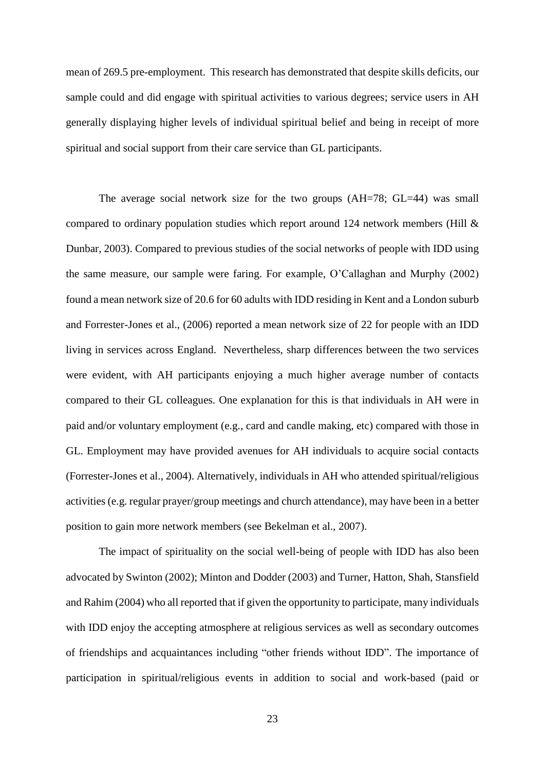mean of 269.5 pre-employment. This research has demonstrated that despite skills deficits, our sample could and did engage with spiritual activities to various degrees; service users in AH generally displaying higher levels of individual spiritual belief and being in receipt of more spiritual and social support from their care service than GL participants.

The average social network size for the two groups (AH=78; GL=44) was small compared to ordinary population studies which report around 124 network members (Hill & Dunbar, 2003). Compared to previous studies of the social networks of people with IDD using the same measure, our sample were faring. For example, O'Callaghan and Murphy (2002) found a mean network size of 20.6 for 60 adults with IDD residing in Kent and a London suburb and Forrester-Jones et al., (2006) reported a mean network size of 22 for people with an IDD living in services across England. Nevertheless, sharp differences between the two services were evident, with AH participants enjoying a much higher average number of contacts compared to their GL colleagues. One explanation for this is that individuals in AH were in paid and/or voluntary employment (e.g., card and candle making, etc) compared with those in GL. Employment may have provided avenues for AH individuals to acquire social contacts (Forrester-Jones et al., 2004). Alternatively, individuals in AH who attended spiritual/religious activities (e.g. regular prayer/group meetings and church attendance), may have been in a better position to gain more network members (see Bekelman et al., 2007).

The impact of spirituality on the social well-being of people with IDD has also been advocated by Swinton (2002); Minton and Dodder (2003) and Turner, Hatton, Shah, Stansfield and Rahim (2004) who all reported that if given the opportunity to participate, many individuals with IDD enjoy the accepting atmosphere at religious services as well as secondary outcomes of friendships and acquaintances including "other friends without IDD". The importance of participation in spiritual/religious events in addition to social and work-based (paid or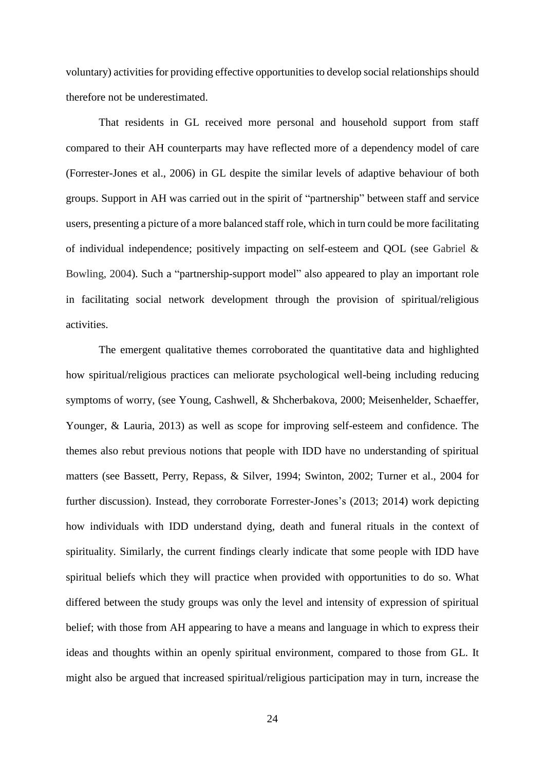voluntary) activities for providing effective opportunities to develop social relationships should therefore not be underestimated.

That residents in GL received more personal and household support from staff compared to their AH counterparts may have reflected more of a dependency model of care (Forrester-Jones et al., 2006) in GL despite the similar levels of adaptive behaviour of both groups. Support in AH was carried out in the spirit of "partnership" between staff and service users, presenting a picture of a more balanced staff role, which in turn could be more facilitating of individual independence; positively impacting on self-esteem and QOL (see Gabriel & Bowling, 2004). Such a "partnership-support model" also appeared to play an important role in facilitating social network development through the provision of spiritual/religious activities.

The emergent qualitative themes corroborated the quantitative data and highlighted how spiritual/religious practices can meliorate psychological well-being including reducing symptoms of worry, (see Young, Cashwell, & Shcherbakova, 2000; Meisenhelder, Schaeffer, Younger, & Lauria, 2013) as well as scope for improving self-esteem and confidence. The themes also rebut previous notions that people with IDD have no understanding of spiritual matters (see Bassett, Perry, Repass, & Silver, 1994; Swinton, 2002; Turner et al., 2004 for further discussion). Instead, they corroborate Forrester-Jones's (2013; 2014) work depicting how individuals with IDD understand dying, death and funeral rituals in the context of spirituality. Similarly, the current findings clearly indicate that some people with IDD have spiritual beliefs which they will practice when provided with opportunities to do so. What differed between the study groups was only the level and intensity of expression of spiritual belief; with those from AH appearing to have a means and language in which to express their ideas and thoughts within an openly spiritual environment, compared to those from GL. It might also be argued that increased spiritual/religious participation may in turn, increase the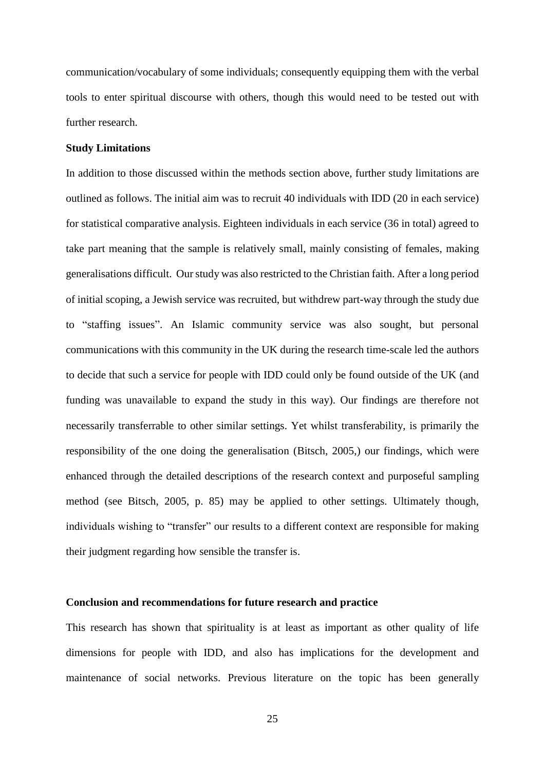communication/vocabulary of some individuals; consequently equipping them with the verbal tools to enter spiritual discourse with others, though this would need to be tested out with further research.

#### **Study Limitations**

In addition to those discussed within the methods section above, further study limitations are outlined as follows. The initial aim was to recruit 40 individuals with IDD (20 in each service) for statistical comparative analysis. Eighteen individuals in each service (36 in total) agreed to take part meaning that the sample is relatively small, mainly consisting of females, making generalisations difficult. Our study was also restricted to the Christian faith. After a long period of initial scoping, a Jewish service was recruited, but withdrew part-way through the study due to "staffing issues". An Islamic community service was also sought, but personal communications with this community in the UK during the research time-scale led the authors to decide that such a service for people with IDD could only be found outside of the UK (and funding was unavailable to expand the study in this way). Our findings are therefore not necessarily transferrable to other similar settings. Yet whilst transferability, is primarily the responsibility of the one doing the generalisation (Bitsch, 2005,) our findings, which were enhanced through the detailed descriptions of the research context and purposeful sampling method (see Bitsch, 2005, p. 85) may be applied to other settings. Ultimately though, individuals wishing to "transfer" our results to a different context are responsible for making their judgment regarding how sensible the transfer is.

#### **Conclusion and recommendations for future research and practice**

This research has shown that spirituality is at least as important as other quality of life dimensions for people with IDD, and also has implications for the development and maintenance of social networks. Previous literature on the topic has been generally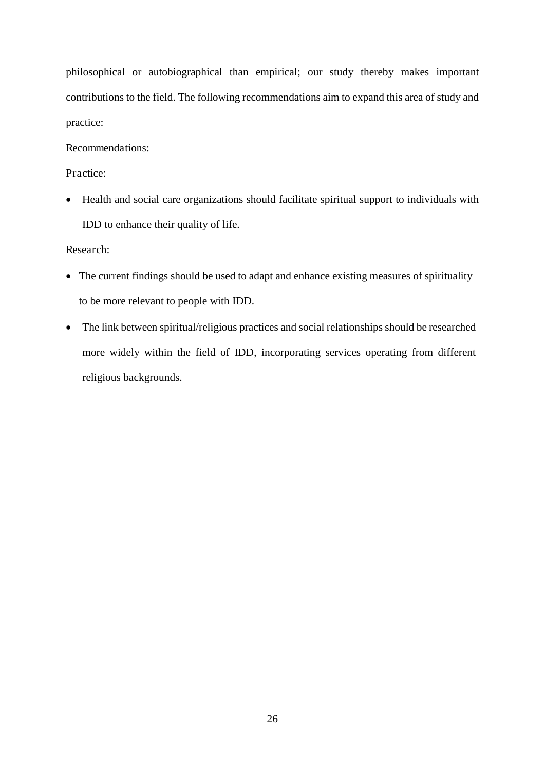philosophical or autobiographical than empirical; our study thereby makes important contributions to the field. The following recommendations aim to expand this area of study and practice:

Recommendations:

Practice:

 Health and social care organizations should facilitate spiritual support to individuals with IDD to enhance their quality of life.

Research:

- The current findings should be used to adapt and enhance existing measures of spirituality to be more relevant to people with IDD.
- The link between spiritual/religious practices and social relationships should be researched more widely within the field of IDD, incorporating services operating from different religious backgrounds.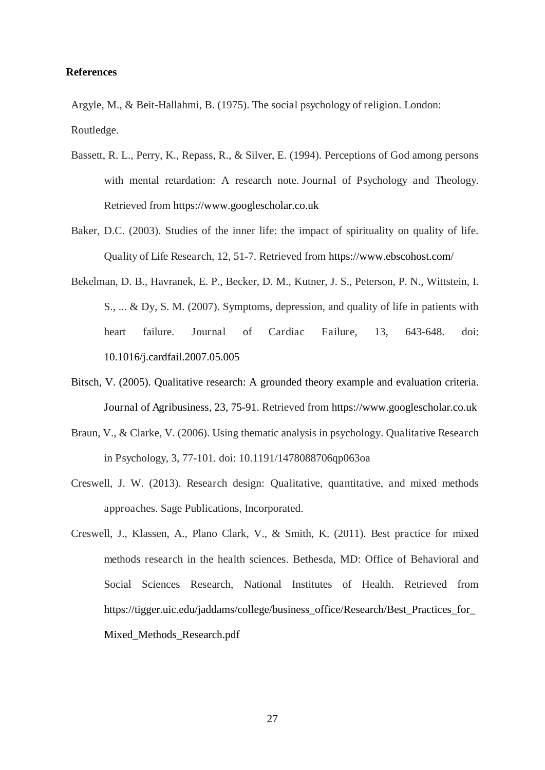#### **References**

Argyle, M., & Beit-Hallahmi, B. (1975). The social psychology of religion. London: Routledge.

- Bassett, R. L., Perry, K., Repass, R., & Silver, E. (1994). Perceptions of God among persons with mental retardation: A research note. Journal of Psychology and Theology. Retrieved from https://www.googlescholar.co.uk
- Baker, D.C. (2003). Studies of the inner life: the impact of spirituality on quality of life. Quality of Life Research, 12, 51-7. Retrieved from https://www.ebscohost.com/
- Bekelman, D. B., Havranek, E. P., Becker, D. M., Kutner, J. S., Peterson, P. N., Wittstein, I. S., ... & Dy, S. M. (2007). Symptoms, depression, and quality of life in patients with heart failure. Journal of Cardiac Failure, 13, 643-648. doi: 10.1016/j.cardfail.2007.05.005
- Bitsch, V. (2005). Qualitative research: A grounded theory example and evaluation criteria. Journal of Agribusiness, 23, 75-91. Retrieved from https://www.googlescholar.co.uk
- Braun, V., & Clarke, V. (2006). Using thematic analysis in psychology. Qualitative Research in Psychology, 3, 77-101. doi: 10.1191/1478088706qp063oa
- Creswell, J. W. (2013). Research design: Qualitative, quantitative, and mixed methods approaches. Sage Publications, Incorporated.
- Creswell, J., Klassen, A., Plano Clark, V., & Smith, K. (2011). Best practice for mixed methods research in the health sciences. Bethesda, MD: Office of Behavioral and Social Sciences Research, National Institutes of Health. Retrieved from https://tigger.uic.edu/jaddams/college/business\_office/Research/Best\_Practices\_for\_ Mixed\_Methods\_Research.pdf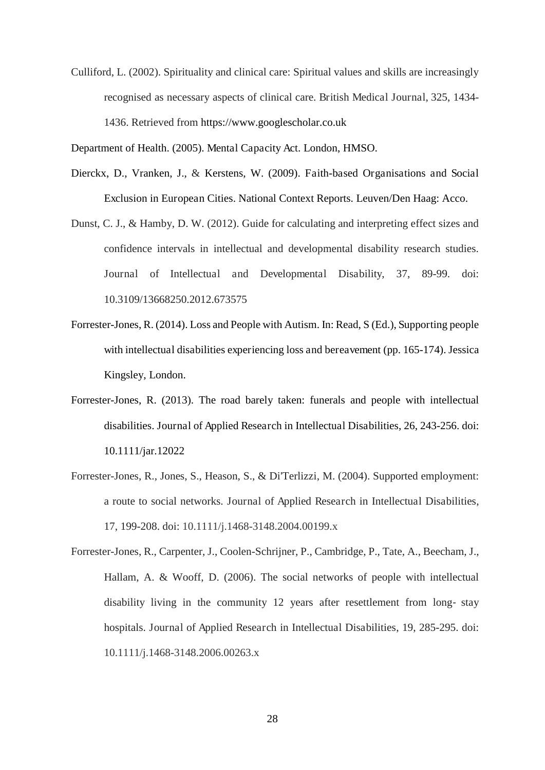Culliford, L. (2002). Spirituality and clinical care: Spiritual values and skills are increasingly recognised as necessary aspects of clinical care. British Medical Journal, 325, 1434- 1436. Retrieved from https://www.googlescholar.co.uk

Department of Health. (2005). Mental Capacity Act. London, HMSO.

- Dierckx, D., Vranken, J., & Kerstens, W. (2009). Faith-based Organisations and Social Exclusion in European Cities. National Context Reports. Leuven/Den Haag: Acco.
- Dunst, C. J., & Hamby, D. W. (2012). Guide for calculating and interpreting effect sizes and confidence intervals in intellectual and developmental disability research studies. Journal of Intellectual and Developmental Disability, 37, 89-99. doi: 10.3109/13668250.2012.673575
- Forrester-Jones, R. (2014). Loss and People with Autism. In: Read, S (Ed.), Supporting people with intellectual disabilities experiencing loss and bereavement (pp. 165-174). Jessica Kingsley, London.
- Forrester-Jones, R. (2013). The road barely taken: funerals and people with intellectual disabilities. Journal of Applied Research in Intellectual Disabilities, 26, 243-256. doi: 10.1111/jar.12022
- Forrester-Jones, R., Jones, S., Heason, S., & Di'Terlizzi, M. (2004). Supported employment: a route to social networks. Journal of Applied Research in Intellectual Disabilities, 17, 199-208. doi: 10.1111/j.1468-3148.2004.00199.x
- Forrester-Jones, R., Carpenter, J., Coolen-Schrijner, P., Cambridge, P., Tate, A., Beecham, J., Hallam, A. & Wooff, D. (2006). The social networks of people with intellectual disability living in the community 12 years after resettlement from long- stay hospitals. Journal of Applied Research in Intellectual Disabilities, 19, 285-295. doi: 10.1111/j.1468-3148.2006.00263.x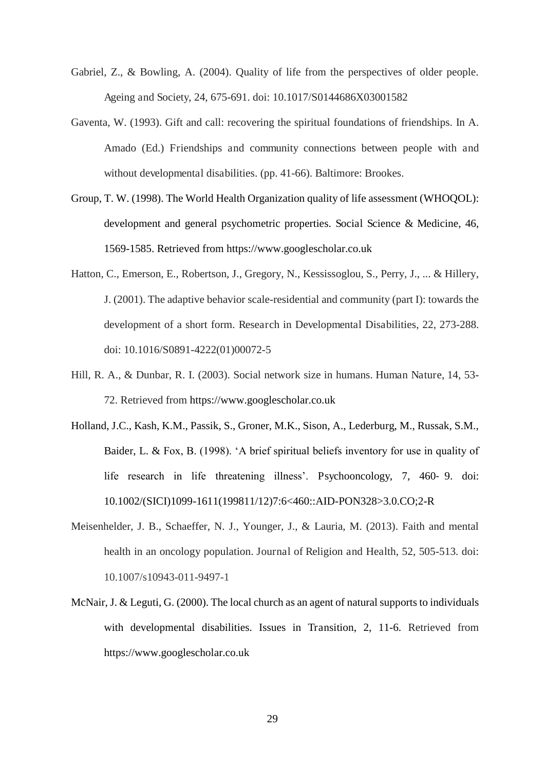- Gabriel, Z., & Bowling, A. (2004). Quality of life from the perspectives of older people. Ageing and Society, 24, 675-691. doi: 10.1017/S0144686X03001582
- Gaventa, W. (1993). Gift and call: recovering the spiritual foundations of friendships. In A. Amado (Ed.) Friendships and community connections between people with and without developmental disabilities. (pp. 41-66). Baltimore: Brookes.
- Group, T. W. (1998). The World Health Organization quality of life assessment (WHOQOL): development and general psychometric properties. Social Science & Medicine, 46, 1569-1585. Retrieved from https://www.googlescholar.co.uk
- Hatton, C., Emerson, E., Robertson, J., Gregory, N., Kessissoglou, S., Perry, J., ... & Hillery, J. (2001). The adaptive behavior scale-residential and community (part I): towards the development of a short form. Research in Developmental Disabilities, 22, 273-288. doi: 10.1016/S0891-4222(01)00072-5
- Hill, R. A., & Dunbar, R. I. (2003). Social network size in humans. Human Nature, 14, 53- 72. Retrieved from https://www.googlescholar.co.uk
- Holland, J.C., Kash, K.M., Passik, S., Groner, M.K., Sison, A., Lederburg, M., Russak, S.M., Baider, L. & Fox, B. (1998). 'A brief spiritual beliefs inventory for use in quality of life research in life threatening illness'. Psychooncology, 7, 460-9. doi: 10.1002/(SICI)1099-1611(199811/12)7:6<460::AID-PON328>3.0.CO;2-R
- Meisenhelder, J. B., Schaeffer, N. J., Younger, J., & Lauria, M. (2013). Faith and mental health in an oncology population. Journal of Religion and Health, 52, 505-513. doi: 10.1007/s10943-011-9497-1
- McNair, J. & Leguti, G. (2000). The local church as an agent of natural supports to individuals with developmental disabilities. Issues in Transition, 2, 11-6. Retrieved from https://www.googlescholar.co.uk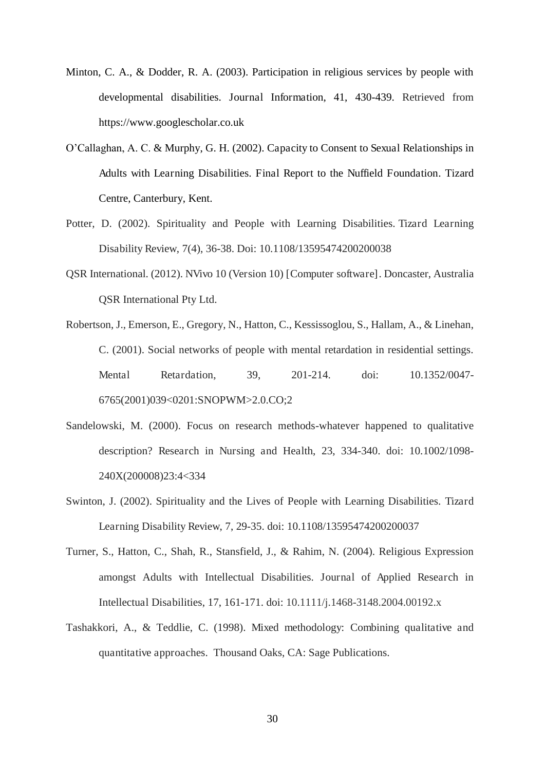- Minton, C. A., & Dodder, R. A. (2003). Participation in religious services by people with developmental disabilities. Journal Information, 41, 430-439. Retrieved from https://www.googlescholar.co.uk
- O'Callaghan, A. C. & Murphy, G. H. (2002). Capacity to Consent to Sexual Relationships in Adults with Learning Disabilities. Final Report to the Nuffield Foundation. Tizard Centre, Canterbury, Kent.
- Potter, D. (2002). Spirituality and People with Learning Disabilities. Tizard Learning Disability Review, 7(4), 36-38. Doi: 10.1108/13595474200200038
- QSR International. (2012). NVivo 10 (Version 10) [Computer software]. Doncaster, Australia QSR International Pty Ltd.
- Robertson, J., Emerson, E., Gregory, N., Hatton, C., Kessissoglou, S., Hallam, A., & Linehan, C. (2001). Social networks of people with mental retardation in residential settings. Mental Retardation, 39, 201-214. doi: 10.1352/0047- 6765(2001)039<0201:SNOPWM>2.0.CO;2
- Sandelowski, M. (2000). Focus on research methods-whatever happened to qualitative description? Research in Nursing and Health, 23, 334-340. doi: 10.1002/1098- 240X(200008)23:4<334
- Swinton, J. (2002). Spirituality and the Lives of People with Learning Disabilities. Tizard Learning Disability Review, 7, 29-35. doi: 10.1108/13595474200200037
- Turner, S., Hatton, C., Shah, R., Stansfield, J., & Rahim, N. (2004). Religious Expression amongst Adults with Intellectual Disabilities. Journal of Applied Research in Intellectual Disabilities, 17, 161-171. doi: 10.1111/j.1468-3148.2004.00192.x
- Tashakkori, A., & Teddlie, C. (1998). Mixed methodology: Combining qualitative and quantitative approaches. Thousand Oaks, CA: Sage Publications.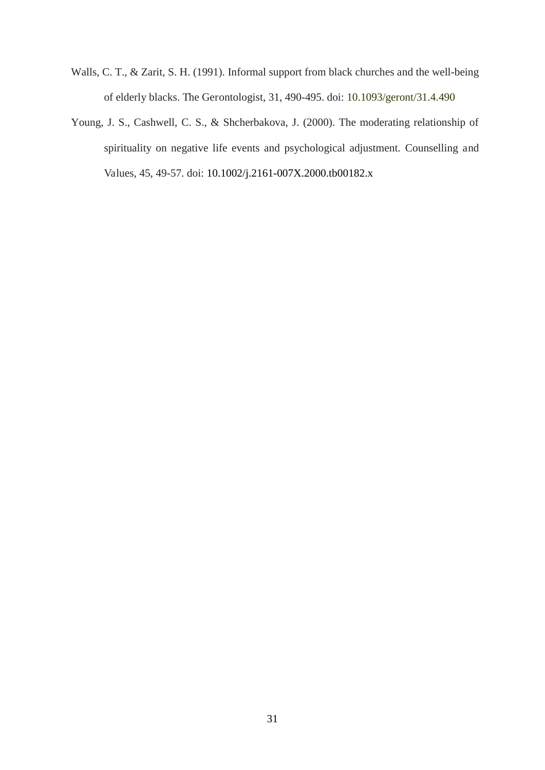- Walls, C. T., & Zarit, S. H. (1991). Informal support from black churches and the well-being of elderly blacks. The Gerontologist, 31, 490-495. doi: 10.1093/geront/31.4.490
- Young, J. S., Cashwell, C. S., & Shcherbakova, J. (2000). The moderating relationship of spirituality on negative life events and psychological adjustment. Counselling and Values, 45, 49-57. doi: 10.1002/j.2161-007X.2000.tb00182.x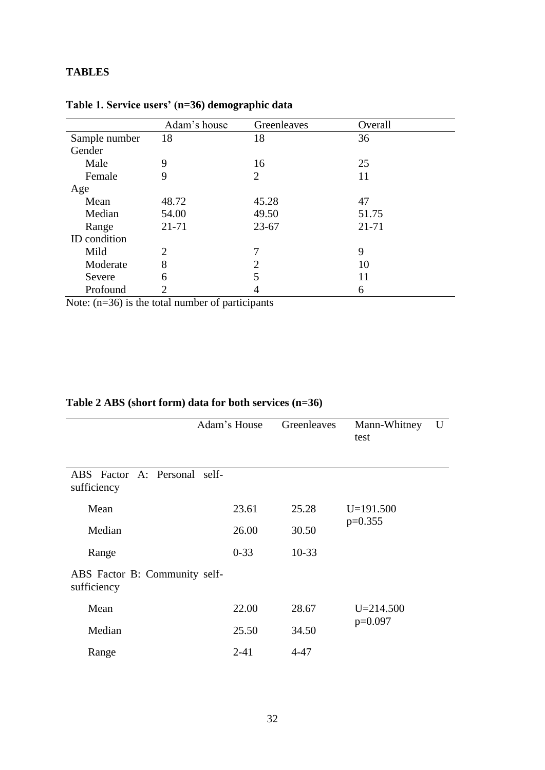# **TABLES**

|               | Adam's house   | Greenleaves    | Overall |
|---------------|----------------|----------------|---------|
| Sample number | 18             | 18             | 36      |
| Gender        |                |                |         |
| Male          | 9              | 16             | 25      |
| Female        | 9              | $\overline{2}$ | 11      |
| Age           |                |                |         |
| Mean          | 48.72          | 45.28          | 47      |
| Median        | 54.00          | 49.50          | 51.75   |
| Range         | 21-71          | $23 - 67$      | 21-71   |
| ID condition  |                |                |         |
| Mild          | $\overline{2}$ | 7              | 9       |
| Moderate      | 8              | $\overline{2}$ | 10      |
| Severe        | 6              | 5              | 11      |
| Profound      |                | 4              | 6       |

**Table 1. Service users' (n=36) demographic data**

Note: (n=36) is the total number of participants

# **Table 2 ABS (short form) data for both services (n=36)**

|                                              | Adam's House | Greenleaves | Mann-Whitney<br>test | U |  |  |  |
|----------------------------------------------|--------------|-------------|----------------------|---|--|--|--|
| ABS Factor A: Personal self-<br>sufficiency  |              |             |                      |   |  |  |  |
| Mean                                         | 23.61        | 25.28       | $U=191.500$          |   |  |  |  |
| Median                                       | 26.00        | 30.50       | $p=0.355$            |   |  |  |  |
| Range                                        | $0 - 33$     | $10 - 33$   |                      |   |  |  |  |
| ABS Factor B: Community self-<br>sufficiency |              |             |                      |   |  |  |  |
| Mean                                         | 22.00        | 28.67       | $U = 214.500$        |   |  |  |  |
| Median                                       | 25.50        | 34.50       | $p=0.097$            |   |  |  |  |
| Range                                        | $2 - 41$     | 4-47        |                      |   |  |  |  |